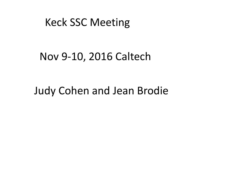### Keck SSC Meeting

### Nov 9-10, 2016 Caltech

### Judy Cohen and Jean Brodie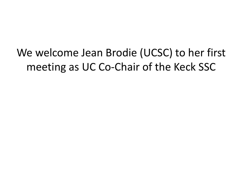We welcome Jean Brodie (UCSC) to her first meeting as UC Co-Chair of the Keck SSC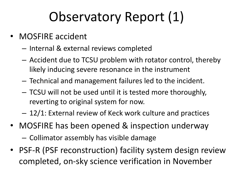# Observatory Report (1)

- MOSFIRE accident
	- Internal & external reviews completed
	- $-$  Accident due to TCSU problem with rotator control, thereby likely inducing severe resonance in the instrument
	- $-$  Technical and management failures led to the incident.
	- TCSU will not be used until it is tested more thoroughly, reverting to original system for now.
	- $-12/1$ : External review of Keck work culture and practices
- MOSFIRE has been opened & inspection underway - Collimator assembly has visible damage
- PSF-R (PSF reconstruction) facility system design review completed, on-sky science verification in November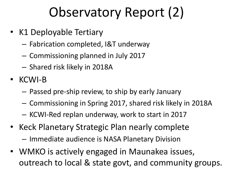# Observatory Report (2)

- K1 Deployable Tertiary
	- Fabrication completed, I&T underway
	- Commissioning planned in July 2017
	- Shared risk likely in 2018A
- KCWI-B
	- $-$  Passed pre-ship review, to ship by early January
	- $-$  Commissioning in Spring 2017, shared risk likely in 2018A
	- KCWI-Red replan underway, work to start in 2017
- Keck Planetary Strategic Plan nearly complete  $-$  Immediate audience is NASA Planetary Division
- WMKO is actively engaged in Maunakea issues, outreach to local & state govt, and community groups.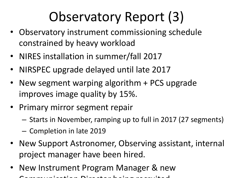# Observatory Report (3)

- Observatory instrument commissioning schedule constrained by heavy workload
- NIRES installation in summer/fall 2017
- NIRSPEC upgrade delayed until late 2017
- New segment warping algorithm + PCS upgrade improves image quality by 15%.
- Primary mirror segment repair
	- $-$  Starts in November, ramping up to full in 2017 (27 segments)
	- Completion in late 2019
- New Support Astronomer, Observing assistant, internal project manager have been hired.
- New Instrument Program Manager & new Communication Director being recruited.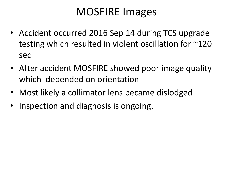## **MOSFIRE** Images

- Accident occurred 2016 Sep 14 during TCS upgrade testing which resulted in violent oscillation for  $\sim$ 120 sec
- After accident MOSFIRE showed poor image quality which depended on orientation
- Most likely a collimator lens became dislodged
- Inspection and diagnosis is ongoing.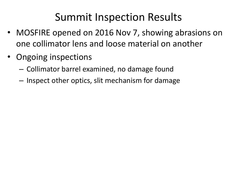## Summit Inspection Results

- MOSFIRE opened on 2016 Nov 7, showing abrasions on one collimator lens and loose material on another
- Ongoing inspections
	- Collimator barrel examined, no damage found
	- Inspect other optics, slit mechanism for damage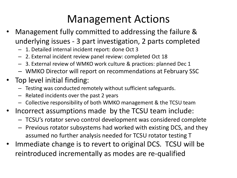## Management Actions

- Management fully committed to addressing the failure & underlying issues - 3 part investigation, 2 parts completed
	- 1. Detailed internal incident report: done Oct 3
	- 2. External incident review panel review: completed Oct 18
	- 3. External review of WMKO work culture & practices: planned Dec 1
	- WMKO Director will report on recommendations at February SSC
- Top level initial finding:
	- Testing was conducted remotely without sufficient safeguards.
	- $-$  Related incidents over the past 2 years
	- Collective responsibility of both WMKO management & the TCSU team
- Incorrect assumptions made by the TCSU team include:
	- TCSU's rotator servo control development was considered complete
	- $-$  Previous rotator subsystems had worked with existing DCS, and they assumed no further analysis needed for TCSU rotator testing T
- Immediate change is to revert to original DCS. TCSU will be reintroduced incrementally as modes are re-qualified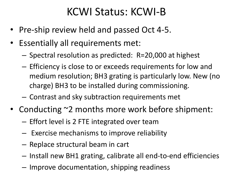## KCWI Status: KCWI-B

- Pre-ship review held and passed Oct 4-5.
- Essentially all requirements met:
	- Spectral resolution as predicted: R=20,000 at highest
	- $-$  Efficiency is close to or exceeds requirements for low and medium resolution; BH3 grating is particularly low. New (no charge) BH3 to be installed during commissioning.
	- $-$  Contrast and sky subtraction requirements met
- Conducting ~2 months more work before shipment:
	- $-$  Effort level is 2 FTE integrated over team
	- $-$  Exercise mechanisms to improve reliability
	- $-$  Replace structural beam in cart
	- $-$  Install new BH1 grating, calibrate all end-to-end efficiencies
	- $-$  Improve documentation, shipping readiness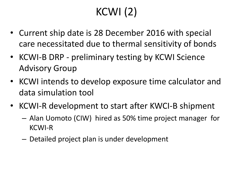## $KCWI(2)$

- Current ship date is 28 December 2016 with special care necessitated due to thermal sensitivity of bonds
- KCWI-B DRP preliminary testing by KCWI Science **Advisory Group**
- KCWI intends to develop exposure time calculator and data simulation tool
- KCWI-R development to start after KWCI-B shipment
	- Alan Uomoto (CIW) hired as 50% time project manager for KCWI-R
	- $-$  Detailed project plan is under development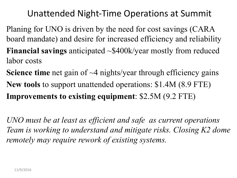### Unattended Night-Time Operations at Summit

- Planing for UNO is driven by the need for cost savings (CARA board mandate) and desire for increased efficiency and reliability **Financial savings** anticipated ~\$400k/year mostly from reduced labor costs
- **Science time** net gain of ~4 nights/year through efficiency gains **New tools** to support unattended operations: \$1.4M (8.9 FTE) **Improvements to existing equipment**: \$2.5M (9.2 FTE)

*UNO must be at least as efficient and safe as current operations Team is working to understand and mitigate risks. Closing K2 dome remotely may require rework of existing systems.*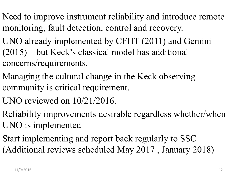- Need to improve instrument reliability and introduce remote monitoring, fault detection, control and recovery.
- UNO already implemented by CFHT (2011) and Gemini (2015) – but Keck's classical model has additional concerns/requirements.
- Managing the cultural change in the Keck observing community is critical requirement.
- UNO reviewed on 10/21/2016.
- Reliability improvements desirable regardless whether/when UNO is implemented
- Start implementing and report back regularly to SSC (Additional reviews scheduled May 2017 , January 2018)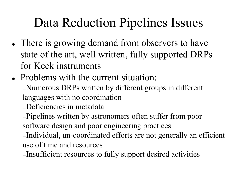## Data Reduction Pipelines Issues

- There is growing demand from observers to have state of the art, well written, fully supported DRPs for Keck instruments
- Problems with the current situation:

―Numerous DRPs written by different groups in different languages with no coordination

―Deficiencies in metadata

―Pipelines written by astronomers often suffer from poor software design and poor engineering practices

―Individual, un-coordinated efforts are not generally an efficient use of time and resources

―Insufficient resources to fully support desired activities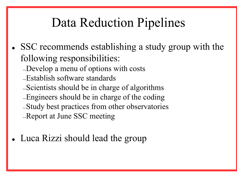## Data Reduction Pipelines

- <sup>l</sup> SSC recommends establishing a study group with the following responsibilities:
	- ―Develop a menu of options with costs
	- ―Establish software standards
	- ―Scientists should be in charge of algorithms
	- ―Engineers should be in charge of the coding
	- ―Study best practices from other observatories
	- ―Report at June SSC meeting
- Luca Rizzi should lead the group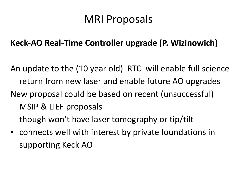## **MRI Proposals**

### **Keck-AO Real-Time Controller upgrade (P. Wizinowich)**

- An update to the (10 year old) RTC will enable full science return from new laser and enable future AO upgrades New proposal could be based on recent (unsuccessful) MSIP & LIEF proposals though won't have laser tomography or tip/tilt
- connects well with interest by private foundations in supporting Keck AO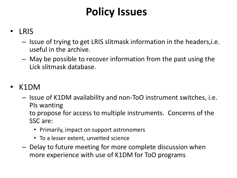## **Policy Issues**

#### • LRIS

- $-$  Issue of trying to get LRIS slitmask information in the headers, i.e. useful in the archive.
- $-$  May be possible to recover information from the past using the Lick slitmask database.

#### • K1DM

 $-$  Issue of K1DM availability and non-ToO instrument switches, i.e. PIs wanting

to propose for access to multiple instruments. Concerns of the SSC are:

- Primarily, impact on support astronomers
- To a lesser extent, unvetted science
- $-$  Delay to future meeting for more complete discussion when more experience with use of K1DM for ToO programs